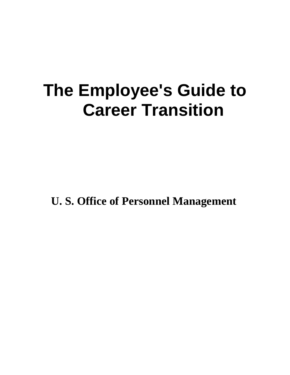# **The Employee's Guide to Career Transition**

**U. S. Office of Personnel Management**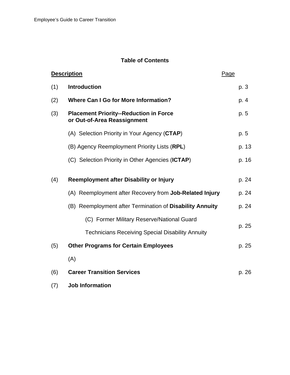# **Table of Contents**

| <b>Description</b> |                                                                              | Page  |
|--------------------|------------------------------------------------------------------------------|-------|
| (1)                | <b>Introduction</b>                                                          | p. 3  |
| (2)                | <b>Where Can I Go for More Information?</b>                                  | p. 4  |
| (3)                | <b>Placement Priority--Reduction in Force</b><br>or Out-of-Area Reassignment | p. 5  |
|                    | (A) Selection Priority in Your Agency (CTAP)                                 | p. 5  |
|                    | (B) Agency Reemployment Priority Lists (RPL)                                 | p. 13 |
|                    | (C) Selection Priority in Other Agencies (ICTAP)                             | p. 16 |
| (4)                | Reemployment after Disability or Injury                                      | p. 24 |
|                    | (A) Reemployment after Recovery from Job-Related Injury                      | p. 24 |
|                    | (B) Reemployment after Termination of Disability Annuity                     | p. 24 |
|                    | (C) Former Military Reserve/National Guard                                   | p. 25 |
|                    | <b>Technicians Receiving Special Disability Annuity</b>                      |       |
| (5)                | <b>Other Programs for Certain Employees</b>                                  | p. 25 |
|                    | (A)                                                                          |       |
| (6)                | <b>Career Transition Services</b>                                            | p. 26 |
| (7)                | <b>Job Information</b>                                                       |       |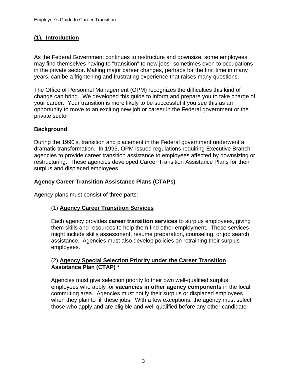# **(1). Introduction**

As the Federal Government continues to restructure and downsize, some employees may find themselves having to "transition" to new jobs--sometimes even to occupations in the private sector. Making major career changes, perhaps for the first time in many years, can be a frightening and frustrating experience that raises many questions.

The Office of Personnel Management (OPM) recognizes the difficulties this kind of change can bring. We developed this guide to inform and prepare you to take charge of your career. Your transition is more likely to be successful if you see this as an opportunity to move to an exciting new job or career in the Federal government or the private sector.

# **Background**

During the 1990's, transition and placement in the Federal government underwent a dramatic transformation. In 1995, OPM issued regulations requiring Executive Branch agencies to provide career transition assistance to employees affected by downsizing or restructuring. These agencies developed Career Transition Assistance Plans for their surplus and displaced employees.

# **Agency Career Transition Assistance Plans (CTAPs)**

Agency plans must consist of three parts:

## (1) **Agency Career Transition Services**

Each agency provides **career transition services** to surplus employees, giving them skills and resources to help them find other employment. These services might include skills assessment, resume preparation, counseling, or job search assistance. Agencies must also develop policies on retraining their surplus employees.

## (2) **Agency Special Selection Priority under the Career Transition Assistance Plan (CTAP) \***

Agencies must give selection priority to their own well-qualified surplus employees who apply for **vacancies in other agency components** in the local commuting area. Agencies must notify their surplus or displaced employees when they plan to fill these jobs. With a few exceptions, the agency must select those who apply and are eligible and well qualified before any other candidate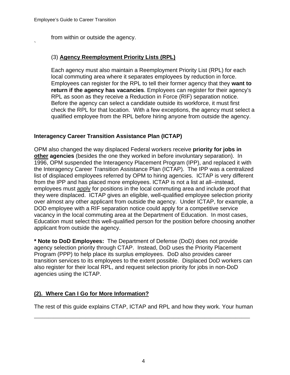`

from within or outside the agency.

## (3) **Agency Reemployment Priority Lists (RPL)**

Each agency must also maintain a Reemployment Priority List (RPL) for each local commuting area where it separates employees by reduction in force. Employees can register for the RPL to tell their former agency that they **want to return if the agency has vacancies**. Employees can register for their agency's RPL as soon as they receive a Reduction in Force (RIF) separation notice. Before the agency can select a candidate outside its workforce, it must first check the RPL for that location. With a few exceptions, the agency must select a qualified employee from the RPL before hiring anyone from outside the agency.

# **Interagency Career Transition Assistance Plan (ICTAP)**

OPM also changed the way displaced Federal workers receive **priority for jobs in other agencies** (besides the one they worked in before involuntary separation). In 1996, OPM suspended the Interagency Placement Program (IPP), and replaced it with the Interagency Career Transition Assistance Plan (ICTAP). The IPP was a centralized list of displaced employees referred by OPM to hiring agencies. ICTAP is very different from the IPP and has placed more employees. ICTAP is not a list at all--instead, employees must apply for positions in the local commuting area and include proof that they were displaced. ICTAP gives an eligible, well-qualified employee selection priority over almost any other applicant from outside the agency. Under ICTAP, for example, a DOD employee with a RIF separation notice could apply for a competitive service vacancy in the local commuting area at the Department of Education. In most cases, Education must select this well-qualified person for the position before choosing another applicant from outside the agency.

**\* Note to DoD Employees:** The Department of Defense (DoD) does not provide agency selection priority through CTAP. Instead, DoD uses the Priority Placement Program (PPP) to help place its surplus employees. DoD also provides career transition services to its employees to the extent possible. Displaced DoD workers can also register for their local RPL, and request selection priority for jobs in non-DoD agencies using the ICTAP.

# **(2). Where Can I Go for More Information?**

The rest of this guide explains CTAP, ICTAP and RPL and how they work. Your human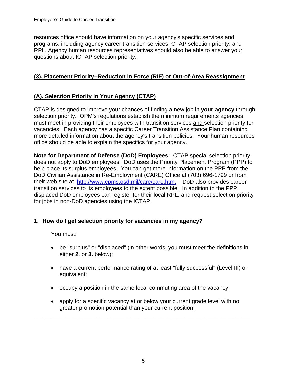resources office should have information on your agency's specific services and programs, including agency career transition services, CTAP selection priority, and RPL. Agency human resources representatives should also be able to answer your questions about ICTAP selection priority.

# **(3). Placement Priority--Reduction in Force (RIF) or Out-of-Area Reassignment**

# **(A). Selection Priority in Your Agency (CTAP)**

CTAP is designed to improve your chances of finding a new job in **your agency** through selection priority. OPM's regulations establish the minimum requirements agencies must meet in providing their employees with transition services and selection priority for vacancies. Each agency has a specific Career Transition Assistance Plan containing more detailed information about the agency's transition policies. Your human resources office should be able to explain the specifics for your agency.

**Note for Department of Defense (DoD) Employees:** CTAP special selection priority does not apply to DoD employees. DoD uses the Priority Placement Program (PPP) to help place its surplus employees. You can get more information on the PPP from the DoD Civilian Assistance in Re-Employment (CARE) Office at (703) 696-1799 or from their web site at http://www.cpms.osd.mil/care/care.htm. DoD also provides career transition services to its employees to the extent possible. In addition to the PPP, displaced DoD employees can register for their local RPL, and request selection priority for jobs in non-DoD agencies using the ICTAP.

# **1. How do I get selection priority for vacancies in my agency?**

You must:

- be "surplus" or "displaced" (in other words, you must meet the definitions in either **2**. or **3.** below);
- have a current performance rating of at least "fully successful" (Level III) or equivalent;
- occupy a position in the same local commuting area of the vacancy;
- apply for a specific vacancy at or below your current grade level with no greater promotion potential than your current position;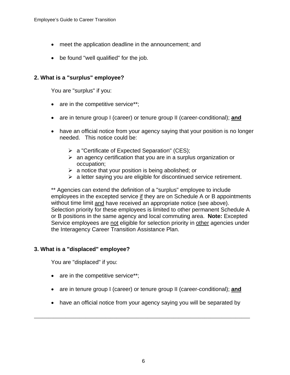- meet the application deadline in the announcement; and
- be found "well qualified" for the job.

## **2. What is a "surplus" employee?**

You are "surplus" if you:

- are in the competitive service\*\*;
- are in tenure group I (career) or tenure group II (career-conditional); **and**
- have an official notice from your agency saying that your position is no longer needed. This notice could be:
	- $\triangleright$  a "Certificate of Expected Separation" (CES);
	- $\triangleright$  an agency certification that you are in a surplus organization or occupation;
	- $\triangleright$  a notice that your position is being abolished; or
	- $\triangleright$  a letter saying you are eligible for discontinued service retirement.

\*\* Agencies can extend the definition of a "surplus" employee to include employees in the excepted service if they are on Schedule A or B appointments without time limit and have received an appropriate notice (see above). Selection priority for these employees is limited to other permanent Schedule A or B positions in the same agency and local commuting area. **Note:** Excepted Service employees are not eligible for selection priority in other agencies under the Interagency Career Transition Assistance Plan.

## **3. What is a "displaced" employee?**

You are "displaced" if you:

- are in the competitive service\*\*;
- are in tenure group I (career) or tenure group II (career-conditional); **and**
- have an official notice from your agency saying you will be separated by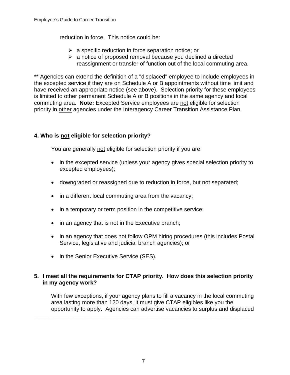reduction in force. This notice could be:

- $\triangleright$  a specific reduction in force separation notice; or
- $\triangleright$  a notice of proposed removal because you declined a directed reassignment or transfer of function out of the local commuting area.

\*\* Agencies can extend the definition of a "displaced" employee to include employees in the excepted service if they are on Schedule A or B appointments without time limit and have received an appropriate notice (see above). Selection priority for these employees is limited to other permanent Schedule A or B positions in the same agency and local commuting area. **Note:** Excepted Service employees are not eligible for selection priority in other agencies under the Interagency Career Transition Assistance Plan.

## **4. Who is not eligible for selection priority?**

You are generally not eligible for selection priority if you are:

- in the excepted service (unless your agency gives special selection priority to excepted employees);
- downgraded or reassigned due to reduction in force, but not separated;
- in a different local commuting area from the vacancy;
- in a temporary or term position in the competitive service;
- in an agency that is not in the Executive branch;
- in an agency that does not follow OPM hiring procedures (this includes Postal Service, legislative and judicial branch agencies); or
- in the Senior Executive Service (SES).

## **5. I meet all the requirements for CTAP priority. How does this selection priority in my agency work?**

\_\_\_\_\_\_\_\_\_\_\_\_\_\_\_\_\_\_\_\_\_\_\_\_\_\_\_\_\_\_\_\_\_\_\_\_\_\_\_\_\_\_\_\_\_\_\_\_\_\_\_\_\_\_\_\_\_\_\_\_\_\_\_\_\_\_\_\_\_\_\_\_\_\_\_\_

With few exceptions, if your agency plans to fill a vacancy in the local commuting area lasting more than 120 days, it must give CTAP eligibles like you the opportunity to apply. Agencies can advertise vacancies to surplus and displaced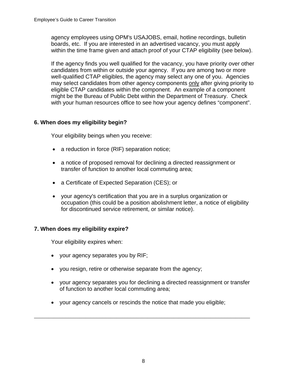agency employees using OPM's USAJOBS, email, hotline recordings, bulletin boards, etc. If you are interested in an advertised vacancy, you must apply within the time frame given and attach proof of your CTAP eligibility (see below).

If the agency finds you well qualified for the vacancy, you have priority over other candidates from within or outside your agency. If you are among two or more well-qualified CTAP eligibles, the agency may select any one of you. Agencies may select candidates from other agency components only after giving priority to eligible CTAP candidates within the component. An example of a component might be the Bureau of Public Debt within the Department of Treasury. Check with your human resources office to see how your agency defines "component".

# **6. When does my eligibility begin?**

Your eligibility beings when you receive:

- a reduction in force (RIF) separation notice;
- a notice of proposed removal for declining a directed reassignment or transfer of function to another local commuting area;
- a Certificate of Expected Separation (CES); or
- your agency's certification that you are in a surplus organization or occupation (this could be a position abolishment letter, a notice of eligibility for discontinued service retirement, or similar notice).

## **7. When does my eligibility expire?**

Your eligibility expires when:

- your agency separates you by RIF;
- you resign, retire or otherwise separate from the agency;
- your agency separates you for declining a directed reassignment or transfer of function to another local commuting area;
- your agency cancels or rescinds the notice that made you eligible;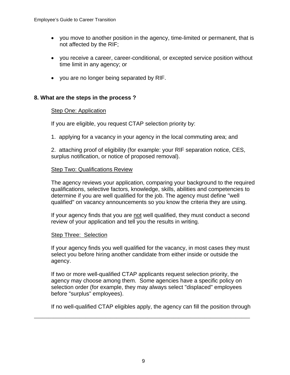- you move to another position in the agency, time-limited or permanent, that is not affected by the RIF;
- you receive a career, career-conditional, or excepted service position without time limit in any agency; or
- you are no longer being separated by RIF.

## **8. What are the steps in the process ?**

## Step One: Application

If you are eligible, you request CTAP selection priority by:

1. applying for a vacancy in your agency in the local commuting area; and

2. attaching proof of eligibility (for example: your RIF separation notice, CES, surplus notification, or notice of proposed removal).

#### Step Two: Qualifications Review

The agency reviews your application, comparing your background to the required qualifications, selective factors, knowledge, skills, abilities and competencies to determine if you are well qualified for the job. The agency must define "well qualified" on vacancy announcements so you know the criteria they are using.

If your agency finds that you are not well qualified, they must conduct a second review of your application and tell you the results in writing.

#### Step Three: Selection

If your agency finds you well qualified for the vacancy, in most cases they must select you before hiring another candidate from either inside or outside the agency.

If two or more well-qualified CTAP applicants request selection priority, the agency may choose among them. Some agencies have a specific policy on selection order (for example, they may always select "displaced" employees before "surplus" employees).

If no well-qualified CTAP eligibles apply, the agency can fill the position through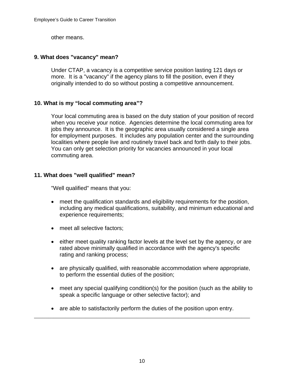other means.

## **9. What does "vacancy" mean?**

Under CTAP, a vacancy is a competitive service position lasting 121 days or more. It is a "vacancy" if the agency plans to fill the position, even if they originally intended to do so without posting a competitive announcement.

#### **10. What is my "local commuting area"?**

Your local commuting area is based on the duty station of your position of record when you receive your notice. Agencies determine the local commuting area for jobs they announce. It is the geographic area usually considered a single area for employment purposes. It includes any population center and the surrounding localities where people live and routinely travel back and forth daily to their jobs. You can only get selection priority for vacancies announced in your local commuting area.

## **11. What does "well qualified" mean?**

"Well qualified" means that you:

- meet the qualification standards and eligibility requirements for the position, including any medical qualifications, suitability, and minimum educational and experience requirements;
- meet all selective factors;
- either meet quality ranking factor levels at the level set by the agency, or are rated above minimally qualified in accordance with the agency's specific rating and ranking process;
- are physically qualified, with reasonable accommodation where appropriate, to perform the essential duties of the position;
- meet any special qualifying condition(s) for the position (such as the ability to speak a specific language or other selective factor); and
- \_\_\_\_\_\_\_\_\_\_\_\_\_\_\_\_\_\_\_\_\_\_\_\_\_\_\_\_\_\_\_\_\_\_\_\_\_\_\_\_\_\_\_\_\_\_\_\_\_\_\_\_\_\_\_\_\_\_\_\_\_\_\_\_\_\_\_\_\_\_\_\_\_\_\_\_ • are able to satisfactorily perform the duties of the position upon entry.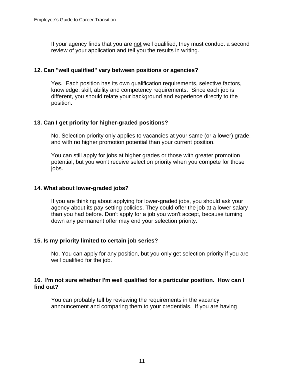If your agency finds that you are not well qualified, they must conduct a second review of your application and tell you the results in writing.

## **12. Can "well qualified" vary between positions or agencies?**

Yes. Each position has its own qualification requirements, selective factors, knowledge, skill, ability and competency requirements. Since each job is different, you should relate your background and experience directly to the position.

# **13. Can I get priority for higher-graded positions?**

No. Selection priority only applies to vacancies at your same (or a lower) grade, and with no higher promotion potential than your current position.

You can still apply for jobs at higher grades or those with greater promotion potential, but you won't receive selection priority when you compete for those jobs.

## **14. What about lower-graded jobs?**

If you are thinking about applying for lower-graded jobs, you should ask your agency about its pay-setting policies. They could offer the job at a lower salary than you had before. Don't apply for a job you won't accept, because turning down any permanent offer may end your selection priority.

## **15. Is my priority limited to certain job series?**

No. You can apply for any position, but you only get selection priority if you are well qualified for the job.

## **16. I'm not sure whether I'm well qualified for a particular position. How can I find out?**

You can probably tell by reviewing the requirements in the vacancy announcement and comparing them to your credentials. If you are having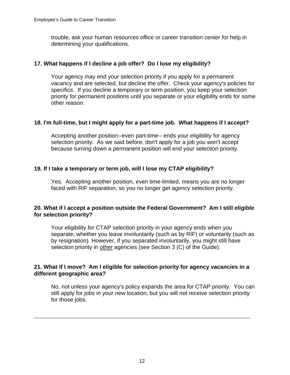trouble, ask your human resources office or career transition center for help in determining your qualifications.

## **17. What happens if I decline a job offer? Do I lose my eligibility?**

Your agency may end your selection priority if you apply for a permanent vacancy and are selected, but decline the offer. Check your agency's policies for specifics. If you decline a temporary or term position, you keep your selection priority for permanent positions until you separate or your eligibility ends for some other reason.

## **18. I'm full-time, but I might apply for a part-time job. What happens if I accept?**

Accepting another position--even part-time-- ends your eligibility for agency selection priority. As we said before, don't apply for a job you won't accept because turning down a permanent position will end your selection priority.

## **19. If I take a temporary or term job, will I lose my CTAP eligibility?**

Yes. Accepting another position, even time-limited, means you are no longer faced with RIF separation, so you no longer get agency selection priority.

## **20. What if I accept a position outside the Federal Government? Am I still eligible for selection priority?**

Your eligibility for CTAP selection priority in your agency ends when you separate, whether you leave involuntarily (such as by RIF) or voluntarily (such as by resignation). However, if you separated involuntarily, you might still have selection priority in other agencies (see Section 3 (C) of the Guide).

## **21. What if I move? Am I eligible for selection priority for agency vacancies in a different geographic area?**

\_\_\_\_\_\_\_\_\_\_\_\_\_\_\_\_\_\_\_\_\_\_\_\_\_\_\_\_\_\_\_\_\_\_\_\_\_\_\_\_\_\_\_\_\_\_\_\_\_\_\_\_\_\_\_\_\_\_\_\_\_\_\_\_\_\_\_\_\_\_\_\_\_\_\_\_

No, not unless your agency's policy expands the area for CTAP priority. You can still apply for jobs in your new location, but you will not receive selection priority for those jobs.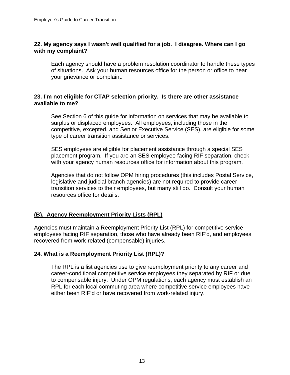## **22. My agency says I wasn't well qualified for a job. I disagree. Where can I go with my complaint?**

Each agency should have a problem resolution coordinator to handle these types of situations. Ask your human resources office for the person or office to hear your grievance or complaint.

## **23. I'm not eligible for CTAP selection priority. Is there are other assistance available to me?**

See Section 6 of this guide for information on services that may be available to surplus or displaced employees. All employees, including those in the competitive, excepted, and Senior Executive Service (SES), are eligible for some type of career transition assistance or services.

SES employees are eligible for placement assistance through a special SES placement program. If you are an SES employee facing RIF separation, check with your agency human resources office for information about this program.

Agencies that do not follow OPM hiring procedures (this includes Postal Service, legislative and judicial branch agencies) are not required to provide career transition services to their employees, but many still do. Consult your human resources office for details.

# **(B). Agency Reemployment Priority Lists (RPL)**

Agencies must maintain a Reemployment Priority List (RPL) for competitive service employees facing RIF separation, those who have already been RIF'd, and employees recovered from work-related (compensable) injuries.

## **24. What is a Reemployment Priority List (RPL)?**

The RPL is a list agencies use to give reemployment priority to any career and career-conditional competitive service employees they separated by RIF or due to compensable injury. Under OPM regulations, each agency must establish an RPL for each local commuting area where competitive service employees have either been RIF'd or have recovered from work-related injury.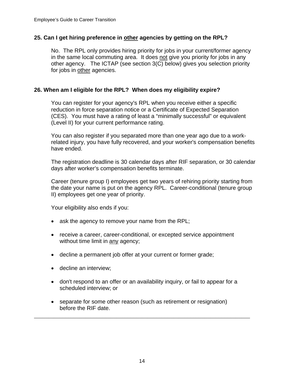## **25. Can I get hiring preference in other agencies by getting on the RPL?**

No. The RPL only provides hiring priority for jobs in your current/former agency in the same local commuting area. It does not give you priority for jobs in any other agency. The ICTAP (see section 3(C) below) gives you selection priority for jobs in other agencies.

## **26. When am I eligible for the RPL? When does my eligibility expire?**

You can register for your agency's RPL when you receive either a specific reduction in force separation notice or a Certificate of Expected Separation (CES). You must have a rating of least a "minimally successful" or equivalent (Level II) for your current performance rating.

You can also register if you separated more than one year ago due to a workrelated injury, you have fully recovered, and your worker's compensation benefits have ended.

The registration deadline is 30 calendar days after RIF separation, or 30 calendar days after worker's compensation benefits terminate.

Career (tenure group I) employees get two years of rehiring priority starting from the date your name is put on the agency RPL. Career-conditional (tenure group II) employees get one year of priority.

Your eligibility also ends if you:

- ask the agency to remove your name from the RPL;
- receive a career, career-conditional, or excepted service appointment without time limit in any agency;
- decline a permanent job offer at your current or former grade;
- decline an interview;
- don't respond to an offer or an availability inquiry, or fail to appear for a scheduled interview; or
- separate for some other reason (such as retirement or resignation) before the RIF date.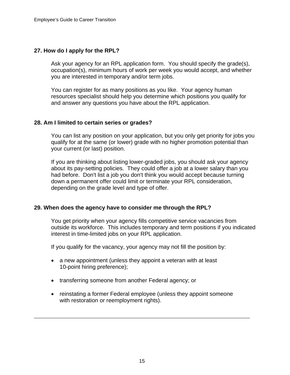## **27. How do I apply for the RPL?**

Ask your agency for an RPL application form. You should specify the grade(s), occupation(s), minimum hours of work per week you would accept, and whether you are interested in temporary and/or term jobs.

You can register for as many positions as you like. Your agency human resources specialist should help you determine which positions you qualify for and answer any questions you have about the RPL application.

## **28. Am I limited to certain series or grades?**

You can list any position on your application, but you only get priority for jobs you qualify for at the same (or lower) grade with no higher promotion potential than your current (or last) position.

If you are thinking about listing lower-graded jobs, you should ask your agency about its pay-setting policies. They could offer a job at a lower salary than you had before. Don't list a job you don't think you would accept because turning down a permanent offer could limit or terminate your RPL consideration, depending on the grade level and type of offer.

## **29. When does the agency have to consider me through the RPL?**

You get priority when your agency fills competitive service vacancies from outside its workforce. This includes temporary and term positions if you indicated interest in time-limited jobs on your RPL application.

If you qualify for the vacancy, your agency may not fill the position by:

- a new appointment (unless they appoint a veteran with at least 10-point hiring preference);
- transferring someone from another Federal agency; or
- reinstating a former Federal employee (unless they appoint someone with restoration or reemployment rights).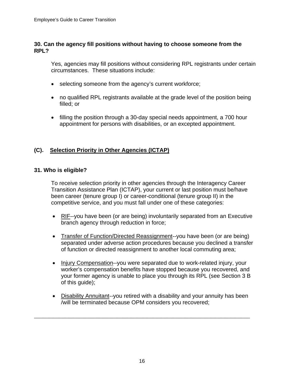## **30. Can the agency fill positions without having to choose someone from the RPL?**

Yes, agencies may fill positions without considering RPL registrants under certain circumstances. These situations include:

- selecting someone from the agency's current workforce;
- no qualified RPL registrants available at the grade level of the position being filled; or
- filling the position through a 30-day special needs appointment, a 700 hour appointment for persons with disabilities, or an excepted appointment.

# **(C). Selection Priority in Other Agencies (ICTAP)**

## **31. Who is eligible?**

To receive selection priority in other agencies through the Interagency Career Transition Assistance Plan (ICTAP), your current or last position must be/have been career (tenure group I) or career-conditional (tenure group II) in the competitive service, and you must fall under one of these categories:

- RIF--you have been (or are being) involuntarily separated from an Executive branch agency through reduction in force;
- Transfer of Function/Directed Reassignment--you have been (or are being) separated under adverse action procedures because you declined a transfer of function or directed reassignment to another local commuting area;
- Injury Compensation--you were separated due to work-related injury, your worker's compensation benefits have stopped because you recovered, and your former agency is unable to place you through its RPL (see Section 3 B of this guide);
- Disability Annuitant--you retired with a disability and your annuity has been /will be terminated because OPM considers you recovered;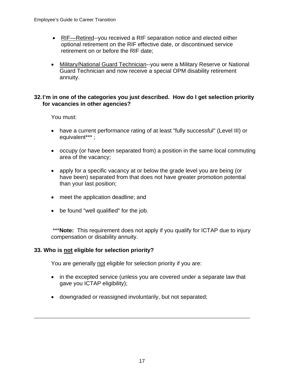- RIF—Retired--you received a RIF separation notice and elected either optional retirement on the RIF effective date, or discontinued service retirement on or before the RIF date;
- Military/National Guard Technician--you were a Military Reserve or National Guard Technician and now receive a special OPM disability retirement annuity.

## **32. I'm in one of the categories you just described. How do I get selection priority for vacancies in other agencies?**

You must:

- have a current performance rating of at least "fully successful" (Level III) or equivalent\*\*\*;
- occupy (or have been separated from) a position in the same local commuting area of the vacancy;
- apply for a specific vacancy at or below the grade level you are being (or have been) separated from that does not have greater promotion potential than your last position;
- meet the application deadline; and
- be found "well qualified" for the job.

\*\*\***Note:** This requirement does not apply if you qualify for ICTAP due to injury compensation or disability annuity.

## **33. Who is not eligible for selection priority?**

You are generally not eligible for selection priority if you are:

- in the excepted service (unless you are covered under a separate law that gave you ICTAP eligibility);
- downgraded or reassigned involuntarily, but not separated;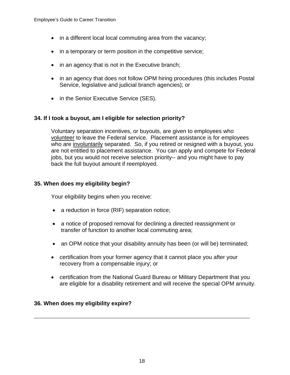- in a different local local commuting area from the vacancy;
- in a temporary or term position in the competitive service;
- in an agency that is not in the Executive branch;
- in an agency that does not follow OPM hiring procedures (this includes Postal Service, legislative and judicial branch agencies); or
- in the Senior Executive Service (SES).

## **34. If I took a buyout, am I eligible for selection priority?**

Voluntary separation incentives, or buyouts, are given to employees who volunteer to leave the Federal service. Placement assistance is for employees who are involuntarily separated. So, if you retired or resigned with a buyout, you are not entitled to placement assistance. You can apply and compete for Federal jobs, but you would not receive selection priority-- and you might have to pay back the full buyout amount if reemployed.

## **35. When does my eligibility begin?**

Your eligibility begins when you receive:

- a reduction in force (RIF) separation notice;
- a notice of proposed removal for declining a directed reassignment or transfer of function to another local commuting area;
- an OPM notice that your disability annuity has been (or will be) terminated;
- certification from your former agency that it cannot place you after your recovery from a compensable injury; or
- certification from the National Guard Bureau or Military Department that you are eligible for a disability retirement and will receive the special OPM annuity.

## **36. When does my eligibility expire?**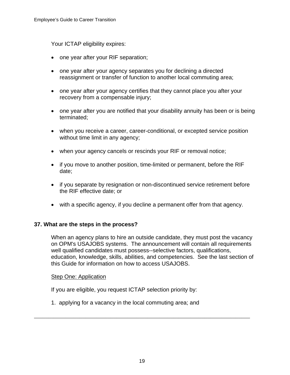Your ICTAP eligibility expires:

- one year after your RIF separation;
- one year after your agency separates you for declining a directed reassignment or transfer of function to another local commuting area;
- one year after your agency certifies that they cannot place you after your recovery from a compensable injury;
- one year after you are notified that your disability annuity has been or is being terminated;
- when you receive a career, career-conditional, or excepted service position without time limit in any agency;
- when your agency cancels or rescinds your RIF or removal notice;
- if you move to another position, time-limited or permanent, before the RIF date;
- if you separate by resignation or non-discontinued service retirement before the RIF effective date; or
- with a specific agency, if you decline a permanent offer from that agency.

#### **37. What are the steps in the process?**

When an agency plans to hire an outside candidate, they must post the vacancy on OPM's USAJOBS systems. The announcement will contain all requirements well qualified candidates must possess--selective factors, qualifications, education, knowledge, skills, abilities, and competencies. See the last section of this Guide for information on how to access USAJOBS.

#### Step One: Application

If you are eligible, you request ICTAP selection priority by:

1. applying for a vacancy in the local commuting area; and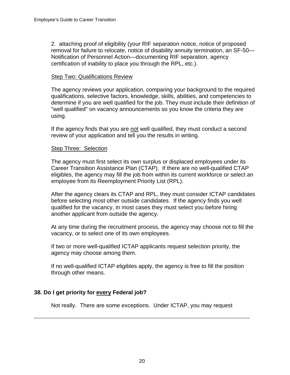2. attaching proof of eligibility (your RIF separation notice, notice of proposed removal for failure to relocate, notice of disability annuity termination, an SF-50— Notification of Personnel Action—documenting RIF separation, agency certification of inability to place you through the RPL, etc.).

## Step Two: Qualifications Review

The agency reviews your application, comparing your background to the required qualifications, selective factors, knowledge, skills, abilities, and competencies to determine if you are well qualified for the job. They must include their definition of "well qualified" on vacancy announcements so you know the criteria they are using.

If the agency finds that you are not well qualified, they must conduct a second review of your application and tell you the results in writing.

#### Step Three: Selection

The agency must first select its own surplus or displaced employees under its Career Transition Assistance Plan (CTAP). If there are no well-qualified CTAP eligibles, the agency may fill the job from within its current workforce or select an employee from its Reemployment Priority List (RPL).

After the agency clears its CTAP and RPL, they must consider ICTAP candidates before selecting most other outside candidates. If the agency finds you well qualified for the vacancy, in most cases they must select you before hiring another applicant from outside the agency.

At any time during the recruitment process, the agency may choose not to fill the vacancy, or to select one of its own employees.

If two or more well-qualified ICTAP applicants request selection priority, the agency may choose among them.

If no well-qualified ICTAP eligibles apply, the agency is free to fill the position through other means.

## **38. Do I get priority for every Federal job?**

Not really. There are some exceptions. Under ICTAP, you may request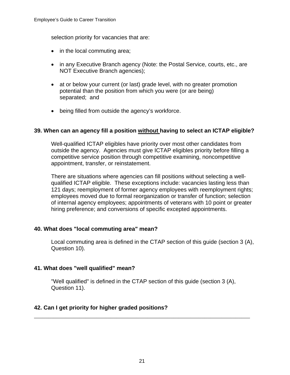selection priority for vacancies that are:

- in the local commuting area;
- in any Executive Branch agency (Note: the Postal Service, courts, etc., are NOT Executive Branch agencies);
- at or below your current (or last) grade level, with no greater promotion potential than the position from which you were (or are being) separated; and
- being filled from outside the agency's workforce.

## **39. When can an agency fill a position without having to select an ICTAP eligible?**

Well-qualified ICTAP eligibles have priority over most other candidates from outside the agency. Agencies must give ICTAP eligibles priority before filling a competitive service position through competitive examining, noncompetitive appointment, transfer, or reinstatement.

There are situations where agencies can fill positions without selecting a wellqualified ICTAP eligible. These exceptions include: vacancies lasting less than 121 days; reemployment of former agency employees with reemployment rights; employees moved due to formal reorganization or transfer of function; selection of internal agency employees; appointments of veterans with 10 point or greater hiring preference; and conversions of specific excepted appointments.

## **40. What does "local commuting area" mean?**

Local commuting area is defined in the CTAP section of this guide (section 3 (A), Question 10).

## **41. What does "well qualified" mean?**

"Well qualified" is defined in the CTAP section of this guide (section 3 (A), Question 11).

\_\_\_\_\_\_\_\_\_\_\_\_\_\_\_\_\_\_\_\_\_\_\_\_\_\_\_\_\_\_\_\_\_\_\_\_\_\_\_\_\_\_\_\_\_\_\_\_\_\_\_\_\_\_\_\_\_\_\_\_\_\_\_\_\_\_\_\_\_\_\_\_\_\_\_\_

## **42. Can I get priority for higher graded positions?**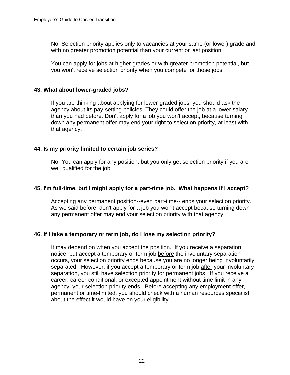No. Selection priority applies only to vacancies at your same (or lower) grade and with no greater promotion potential than your current or last position.

You can apply for jobs at higher grades or with greater promotion potential, but you won't receive selection priority when you compete for those jobs.

## **43. What about lower-graded jobs?**

If you are thinking about applying for lower-graded jobs, you should ask the agency about its pay-setting policies. They could offer the job at a lower salary than you had before. Don't apply for a job you won't accept, because turning down any permanent offer may end your right to selection priority, at least with that agency.

## **44. Is my priority limited to certain job series?**

No. You can apply for any position, but you only get selection priority if you are well qualified for the job.

## **45. I'm full-time, but I might apply for a part-time job. What happens if I accept?**

Accepting any permanent position--even part-time-- ends your selection priority. As we said before, don't apply for a job you won't accept because turning down any permanent offer may end your selection priority with that agency.

## **46. If I take a temporary or term job, do I lose my selection priority?**

It may depend on when you accept the position. If you receive a separation notice, but accept a temporary or term job before the involuntary separation occurs, your selection priority ends because you are no longer being involuntarily separated. However, if you accept a temporary or term job after your involuntary separation, you still have selection priority for permanent jobs. If you receive a career, career-conditional, or excepted appointment without time limit in any agency, your selection priority ends. Before accepting any employment offer, permanent or time-limited, you should check with a human resources specialist about the effect it would have on your eligibility.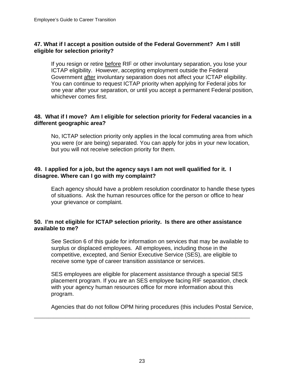## **47. What if I accept a position outside of the Federal Government? Am I still eligible for selection priority?**

If you resign or retire before RIF or other involuntary separation, you lose your ICTAP eligibility. However, accepting employment outside the Federal Government after involuntary separation does not affect your ICTAP eligibility. You can continue to request ICTAP priority when applying for Federal jobs for one year after your separation, or until you accept a permanent Federal position, whichever comes first.

## **48. What if I move? Am I eligible for selection priority for Federal vacancies in a different geographic area?**

No, ICTAP selection priority only applies in the local commuting area from which you were (or are being) separated. You can apply for jobs in your new location, but you will not receive selection priority for them.

## **49. I applied for a job, but the agency says I am not well qualified for it. I disagree. Where can I go with my complaint?**

Each agency should have a problem resolution coordinator to handle these types of situations. Ask the human resources office for the person or office to hear your grievance or complaint.

## **50. I'm not eligible for ICTAP selection priority. Is there are other assistance available to me?**

See Section 6 of this guide for information on services that may be available to surplus or displaced employees. All employees, including those in the competitive, excepted, and Senior Executive Service (SES), are eligible to receive some type of career transition assistance or services.

SES employees are eligible for placement assistance through a special SES placement program. If you are an SES employee facing RIF separation, check with your agency human resources office for more information about this program.

Agencies that do not follow OPM hiring procedures (this includes Postal Service,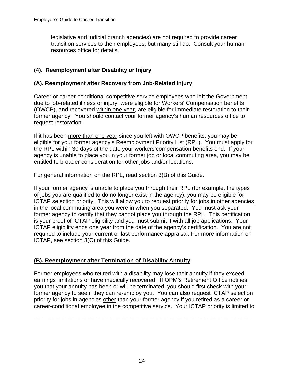legislative and judicial branch agencies) are not required to provide career transition services to their employees, but many still do. Consult your human resources office for details.

# **(4). Reemployment after Disability or Injury**

## **(A). Reemployment after Recovery from Job-Related Injury**

Career or career-conditional competitive service employees who left the Government due to job-related illness or injury, were eligible for Workers' Compensation benefits (OWCP), and recovered within one year, are eligible for immediate restoration to their former agency. You should contact your former agency's human resources office to request restoration.

If it has been more than one year since you left with OWCP benefits, you may be eligible for your former agency's Reemployment Priority List (RPL). You must apply for the RPL within 30 days of the date your workers'compensation benefits end. If your agency is unable to place you in your former job or local commuting area, you may be entitled to broader consideration for other jobs and/or locations.

For general information on the RPL, read section 3(B) of this Guide.

If your former agency is unable to place you through their RPL (for example, the types of jobs you are qualified to do no longer exist in the agency), you may be eligible for ICTAP selection priority. This will allow you to request priority for jobs in other agencies in the local commuting area you were in when you separated. You must ask your former agency to certify that they cannot place you through the RPL. This certification is your proof of ICTAP eligibility and you must submit it with all job applications. Your ICTAP eligibility ends one year from the date of the agency's certification. You are not required to include your current or last performance appraisal. For more information on ICTAP, see section 3(C) of this Guide.

# **(B). Reemployment after Termination of Disability Annuity**

Former employees who retired with a disability may lose their annuity if they exceed earnings limitations or have medically recovered. If OPM's Retirement Office notifies you that your annuity has been or will be terminated, you should first check with your former agency to see if they can re-employ you. You can also request ICTAP selection priority for jobs in agencies other than your former agency if you retired as a career or career-conditional employee in the competitive service. Your ICTAP priority is limited to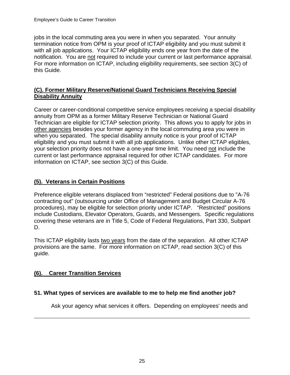jobs in the local commuting area you were in when you separated. Your annuity termination notice from OPM is your proof of ICTAP eligibility and you must submit it with all job applications. Your ICTAP eligibility ends one year from the date of the notification. You are not required to include your current or last performance appraisal. For more information on ICTAP, including eligibility requirements, see section 3(C) of this Guide.

# **(C). Former Military Reserve/National Guard Technicians Receiving Special Disability Annuity**

Career or career-conditional competitive service employees receiving a special disability annuity from OPM as a former Military Reserve Technician or National Guard Technician are eligible for ICTAP selection priority. This allows you to apply for jobs in other agencies besides your former agency in the local commuting area you were in when you separated. The special disability annuity notice is your proof of ICTAP eligibility and you must submit it with all job applications. Unlike other ICTAP eligibles, your selection priority does not have a one-year time limit. You need not include the current or last performance appraisal required for other ICTAP candidates. For more information on ICTAP, see section 3(C) of this Guide.

# **(5). Veterans in Certain Positions**

Preference eligible veterans displaced from "restricted" Federal positions due to "A-76 contracting out" (outsourcing under Office of Management and Budget Circular A-76 procedures), may be eligible for selection priority under ICTAP. "Restricted" positions include Custodians, Elevator Operators, Guards, and Messengers. Specific regulations covering these veterans are in Title 5, Code of Federal Regulations, Part 330, Subpart D.

This ICTAP eligibility lasts two years from the date of the separation. All other ICTAP provisions are the same. For more information on ICTAP, read section 3(C) of this guide.

# **(6). Career Transition Services**

# **51. What types of services are available to me to help me find another job?**

Ask your agency what services it offers. Depending on employees' needs and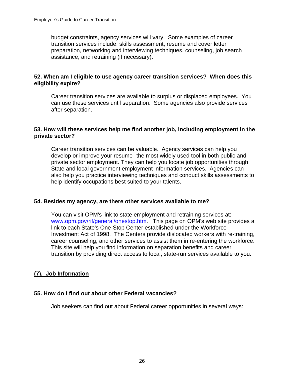budget constraints, agency services will vary. Some examples of career transition services include: skills assessment, resume and cover letter preparation, networking and interviewing techniques, counseling, job search assistance, and retraining (if necessary).

## **52. When am I eligible to use agency career transition services? When does this eligibility expire?**

Career transition services are available to surplus or displaced employees. You can use these services until separation. Some agencies also provide services after separation.

## **53. How will these services help me find another job, including employment in the private sector?**

Career transition services can be valuable. Agency services can help you develop or improve your resume--the most widely used tool in both public and private sector employment. They can help you locate job opportunities through State and local government employment information services. Agencies can also help you practice interviewing techniques and conduct skills assessments to help identify occupations best suited to your talents.

## **54. Besides my agency, are there other services available to me?**

You can visit OPM's link to state employment and retraining services at: [www.opm.gov/rif/general/onestop.htm](http://www.opm.gov/rif/general/onestop.htm). This page on OPM's web site provides a link to each State's One-Stop Center established under the Workforce Investment Act of 1998. The Centers provide dislocated workers with re-training, career counseling, and other services to assist them in re-entering the workforce. This site will help you find information on separation benefits and career transition by providing direct access to local, state-run services available to you.

# **(7). Job Information**

## **55. How do I find out about other Federal vacancies?**

Job seekers can find out about Federal career opportunities in several ways: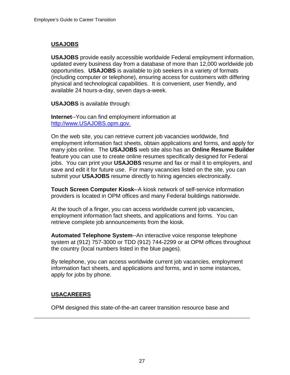# **USAJOBS**

**USAJOBS** provide easily accessible worldwide Federal employment information, updated every business day from a database of more than 12,000 worldwide job opportunities. **USAJOBS** is available to job seekers in a variety of formats (including computer or telephone), ensuring access for customers with differing physical and technological capabilities. It is convenient, user friendly, and available 24 hours-a-day, seven days-a-week.

**USAJOBS** is available through:

**Internet**--You can find employment information at [http://www.USAJOBS.opm.gov.](http://www.usajobs.opm.gov/)

On the web site, you can retrieve current job vacancies worldwide, find employment information fact sheets, obtain applications and forms, and apply for many jobs online. The **USAJOBS** web site also has an **Online Resume Builder** feature you can use to create online resumes specifically designed for Federal jobs. You can print your **USAJOBS** resume and fax or mail it to employers, and save and edit it for future use. For many vacancies listed on the site, you can submit your **USAJOBS** resume directly to hiring agencies electronically.

**Touch Screen Computer Kiosk-**-A kiosk network of self-service information providers is located in OPM offices and many Federal buildings nationwide.

At the touch of a finger, you can access worldwide current job vacancies, employment information fact sheets, and applications and forms. You can retrieve complete job announcements from the kiosk.

**Automated Telephone System**--An interactive voice response telephone system at (912) 757-3000 or TDD (912) 744-2299 or at OPM offices throughout the country (local numbers listed in the blue pages).

By telephone, you can access worldwide current job vacancies, employment information fact sheets, and applications and forms, and in some instances, apply for jobs by phone.

# **USACAREERS**

OPM designed this state-of-the-art career transition resource base and